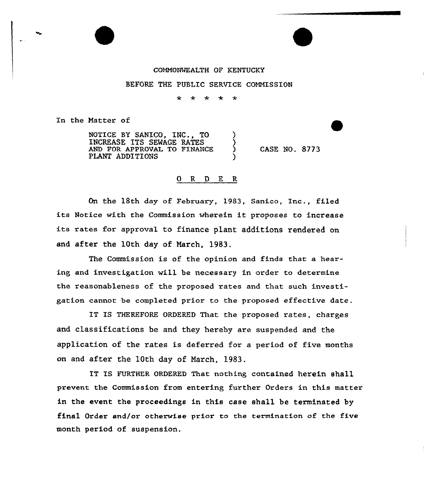## COMMONWEALTH OF KENTUCKY

## BEFORE THE PUBLIC SERVICE COMMISSION

\* \* \*  $\star$  $\star$ 

In the Natter of

NOTICE BY SANICO, INC., TO ) INCREASE ITS SEWAGE RATES ) AND FOR APPROVAL TO FINANCE  $\left($ PLANT ADDITIONS

CASK NO. 8773

## 0 R <sup>D</sup> E R

On the 18th day of February, 1983, Sanico, Inc., filed its Notice with the Commission wherein it proposes to increase its rates for approval to finance plant additions rendered on and after the 10th day of March, 1983.

The Commission is of the opinion and finds that a hearing and investigation will be necessary in order to determine the reasonableness of the proposed rates and that such investigation cannot be completed prior to the proposed effective date.

IT IS THEREFORE ORDERED That the proposed rates, charges and classifications be and they hereby are suspended and the application of the rates is deferred for a period of five months on and after the 10th day of March, 1983.

IT IS FURTHER ORDERED That nothing contained herein shall prevent the Commission from entering further Orders in this matter in the event the proceedings in this case shall be terminated by final Order and/or otherwise prior to the termination of the five month period of suspension.